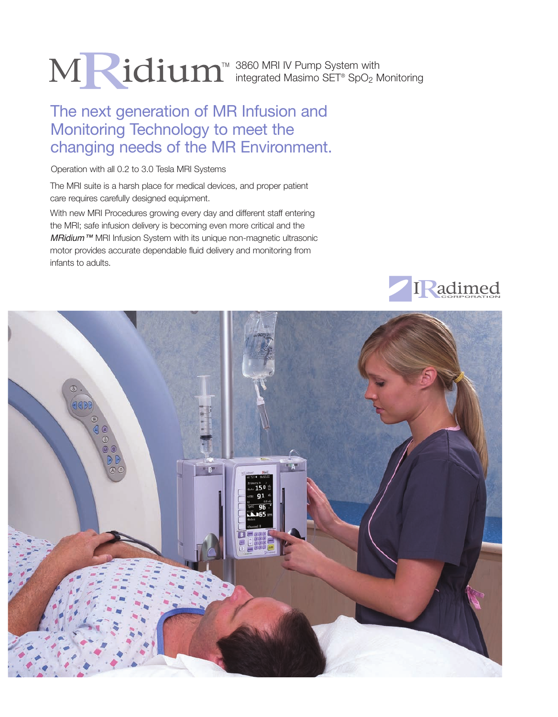# 3860 MRI IV Pump System with integrated Masimo SET® SpO<sub>2</sub> Monitoring

# The next generation of MR Infusion and Monitoring Technology to meet the changing needs of the MR Environment.

Operation with all 0.2 to 3.0 Tesla MRI Systems

The MRI suite is a harsh place for medical devices, and proper patient care requires carefully designed equipment.

With new MRI Procedures growing every day and different staff entering the MRI; safe infusion delivery is becoming even more critical and the *MRidium™* MRI Infusion System with its unique non-magnetic ultrasonic motor provides accurate dependable fluid delivery and monitoring from infants to adults.



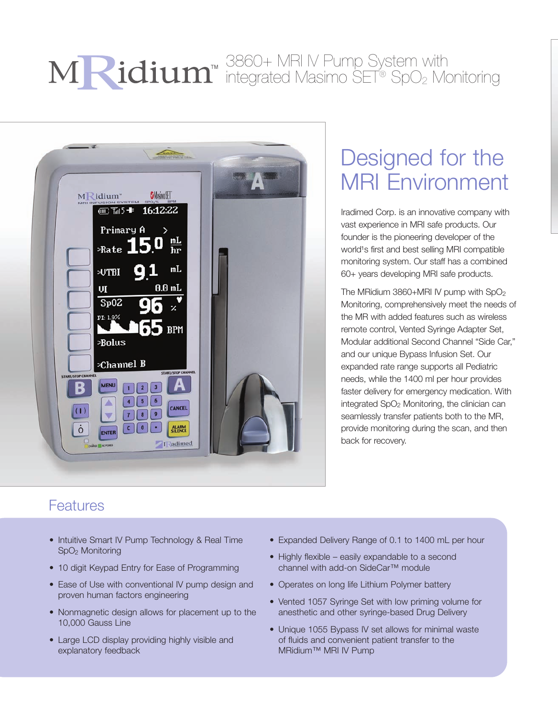# 3860+ MRI IV Pump System with integrated Masimo SET® SpO2 Monitoring



# Designed for the MRI Environment

Iradimed Corp. is an innovative company with vast experience in MRI safe products. Our founder is the pioneering developer of the world<sup>1</sup>s first and best selling MRI compatible monitoring system. Our staff has a combined 60+ years developing MRI safe products.

The MRidium 3860+MRI IV pump with SpO2 Monitoring, comprehensively meet the needs of the MR with added features such as wireless remote control, Vented Syringe Adapter Set, Modular additional Second Channel "Side Car," and our unique Bypass Infusion Set. Our expanded rate range supports all Pediatric needs, while the 1400 ml per hour provides faster delivery for emergency medication. With integrated SpO2 Monitoring, the clinician can seamlessly transfer patients both to the MR, provide monitoring during the scan, and then back for recovery.

## Features

- Intuitive Smart IV Pump Technology & Real Time SpO2 Monitoring
- 10 digit Keypad Entry for Ease of Programming
- Ease of Use with conventional IV pump design and proven human factors engineering
- Nonmagnetic design allows for placement up to the 10,000 Gauss Line
- Large LCD display providing highly visible and explanatory feedback
- Expanded Delivery Range of 0.1 to 1400 mL per hour
- Highly flexible easily expandable to a second channel with add-on SideCar™ module
- Operates on long life Lithium Polymer battery
- Vented 1057 Syringe Set with low priming volume for anesthetic and other syringe-based Drug Delivery
- Unique 1055 Bypass IV set allows for minimal waste of fluids and convenient patient transfer to the MRidium™ MRI IV Pump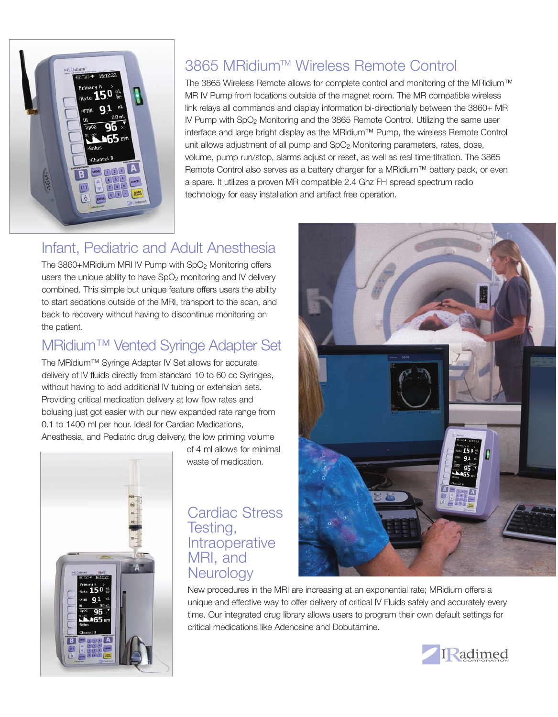

# 3865 MRidium™ Wireless Remote Control

The 3865 Wireless Remote allows for complete control and monitoring of the MRidium™ MR IV Pump from locations outside of the magnet room. The MR compatible wireless link relays all commands and display information bi-directionally between the 3860+ MR IV Pump with SpO2 Monitoring and the 3865 Remote Control. Utilizing the same user interface and large bright display as the MRidium™ Pump, the wireless Remote Control unit allows adjustment of all pump and SpO<sub>2</sub> Monitoring parameters, rates, dose, volume, pump run/stop, alarms adjust or reset, as well as real time titration. The 3865 Remote Control also serves as a battery charger for a MRidium™ battery pack, or even a spare. It utilizes a proven MR compatible 2.4 Ghz FH spread spectrum radio technology for easy installation and artifact free operation.

# Infant, Pediatric and Adult Anesthesia

The 3860+MRidium MRI IV Pump with SpO2 Monitoring offers users the unique ability to have  $SpO<sub>2</sub>$  monitoring and IV delivery combined. This simple but unique feature offers users the ability to start sedations outside of the MRI, transport to the scan, and back to recovery without having to discontinue monitoring on the patient.

# MRidium™ Vented Syringe Adapter Set

The MRidium™ Syringe Adapter IV Set allows for accurate delivery of IV fluids directly from standard 10 to 60 cc Syringes, without having to add additional IV tubing or extension sets. Providing critical medication delivery at low flow rates and bolusing just got easier with our new expanded rate range from 0.1 to 1400 ml per hour. Ideal for Cardiac Medications, Anesthesia, and Pediatric drug delivery, the low priming volume



of 4 ml allows for minimal waste of medication.

## Cardiac Stress Testing, **Intraoperative** MRI, and **Neurology**

New procedures in the MRI are increasing at an exponential rate; MRidium offers a unique and effective way to offer delivery of critical IV Fluids safely and accurately every time. Our integrated drug library allows users to program their own default settings for critical medications like Adenosine and Dobutamine.